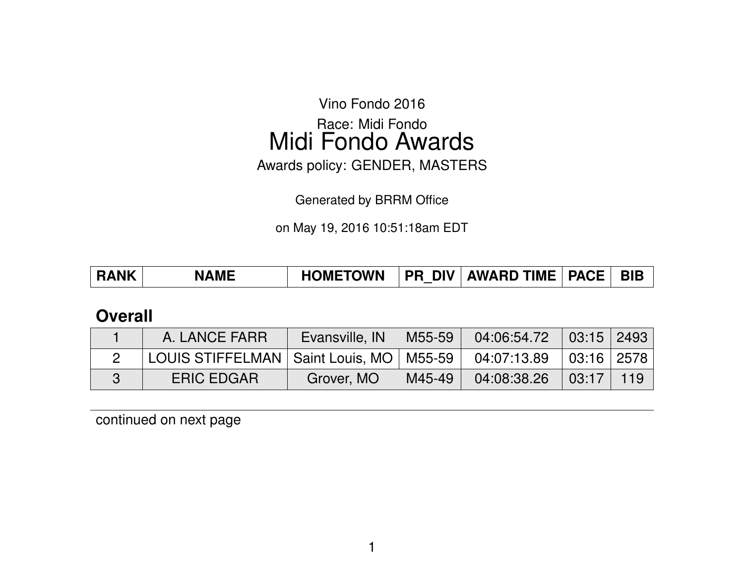Vino Fondo 2016

Race: Midi Fondo Midi Fondo Awards

Awards policy: GENDER, MASTERS

Generated by BRRM Office

on May 19, 2016 10:51:18am EDT

| <b>RANK</b><br><b>NAME</b> | <b>HOMETOWN</b> |  | <b>PR DIV AWARD TIME   PACE  </b> |  | <b>BIB</b> |
|----------------------------|-----------------|--|-----------------------------------|--|------------|
|----------------------------|-----------------|--|-----------------------------------|--|------------|

### **Overall**

| A. LANCE FARR                                                            | Evansville, IN |          | M55-59 04:06:54.72 03:15 2493 |                               |  |
|--------------------------------------------------------------------------|----------------|----------|-------------------------------|-------------------------------|--|
| LOUIS STIFFELMAN   Saint Louis, MO   M55-59   04:07:13.89   03:16   2578 |                |          |                               |                               |  |
| <b>ERIC EDGAR</b>                                                        | Grover, MO     | M45-49 I | 04:08:38.26                   | $\vert 03:17 \vert 119 \vert$ |  |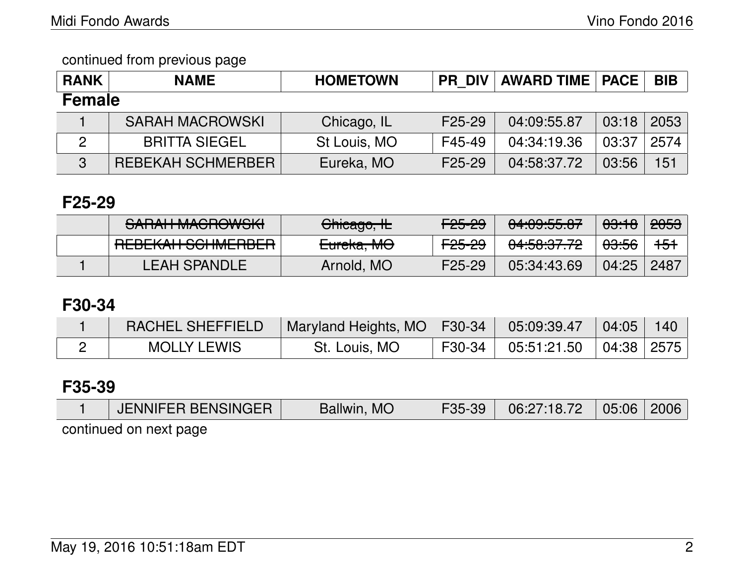| <b>RANK</b>   | <b>NAME</b>            | <b>HOMETOWN</b> | <b>PR DIV</b> | <b>AWARD TIME   PACE</b> |       | <b>BIB</b> |  |  |
|---------------|------------------------|-----------------|---------------|--------------------------|-------|------------|--|--|
| <b>Female</b> |                        |                 |               |                          |       |            |  |  |
|               | <b>SARAH MACROWSKI</b> | Chicago, IL     | F25-29        | 04:09:55.87              | 03:18 | 2053       |  |  |
| 2             | <b>BRITTA SIEGEL</b>   | St Louis, MO    | F45-49        | 04:34:19.36              | 03:37 | 2574       |  |  |
| 3             | REBEKAH SCHMERBER      | Eureka, MO      | F25-29        | 04:58:37.72              | 03:56 | 151        |  |  |

## **F25-29**

| CADALLMACDOMICIZI<br><u>הוטזיטווטמוויוומוהוס</u>       | Chicago, IL | <del>F25-29</del>       | $0.4.00 \text{ F} \text{F}$ $0.7$<br><u>04.09.00.07</u> | <del>03:18</del> | <del>2053</del> |
|--------------------------------------------------------|-------------|-------------------------|---------------------------------------------------------|------------------|-----------------|
| DEDEIZALI COLIMEDDED<br><b>TILDLIVAIT JUIMLITIDLIT</b> | Eureka, MO  | <u>LOL 00</u><br>TZJTZJ | 0.4.50.07.70<br>04.00.07.7Z                             | <del>03:56</del> | <del>151</del>  |
| LEAH SPANDLE                                           | Arnold, MO  | F <sub>25</sub> -29     | 05:34:43.69                                             | 04:25            | 2487            |

## **F30-34**

| RACHEL SHEFFIELD   | Maryland Heights, MO   F30-34 |        | 05:09:39.47                | $\setminus$ 04:05 | 140 |
|--------------------|-------------------------------|--------|----------------------------|-------------------|-----|
| <b>MOLLY LEWIS</b> | St. Louis, MO                 | F30-34 | $05:51:21.50$ $04:38$ 2575 |                   |     |

## **F35-39**

| JENNIFER BENSINGER     | <b>MC</b><br>Ballwin, | F35-39<br><u>UU</u> | 06:27:18.72 | 05:06 | 2006 |
|------------------------|-----------------------|---------------------|-------------|-------|------|
| continued on next nane |                       |                     |             |       |      |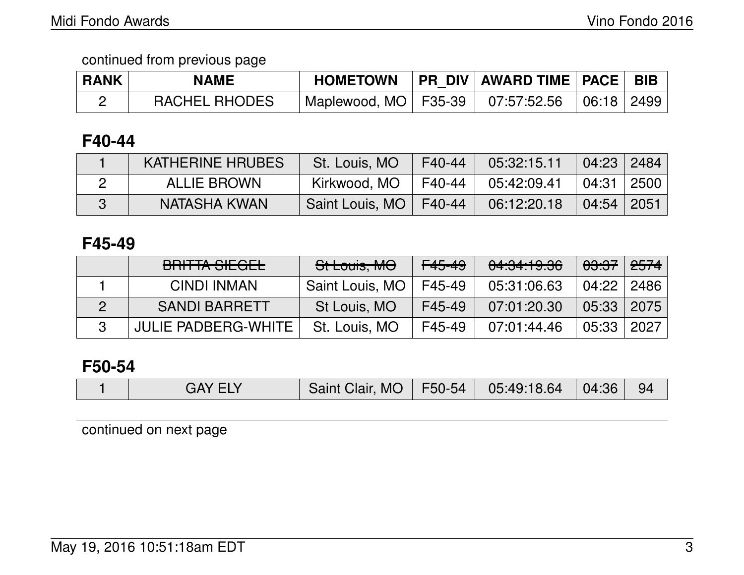| <b>RANK</b> | <b>NAME</b>          | <b>HOMETOWN</b>                                     | PR_DIV   AWARD TIME   PACE   BIB |  |
|-------------|----------------------|-----------------------------------------------------|----------------------------------|--|
|             | <b>RACHEL RHODES</b> | Maplewood, MO   F35-39   07:57:52.56   06:18   2499 |                                  |  |

### **F40-44**

| <b>KATHERINE HRUBES</b> | St. Louis, MO            | $F40-44$ | 05:32:15.11 | 04:23   2484             |  |
|-------------------------|--------------------------|----------|-------------|--------------------------|--|
| <b>ALLIE BROWN</b>      | Kirkwood, MO             | F40-44   | 05:42:09.41 | 04:31 2500               |  |
| NATASHA KWAN            | Saint Louis, MO   F40-44 |          | 06:12:20.18 | $\mid$ 04:54 $\mid$ 2051 |  |

### **F45-49**

| BRITTA SIEGEL        | St Louis, MO    | <del>F45-49</del> | 04:34:19.36 | <del>03:37</del> ∣ | <del>2574</del> |
|----------------------|-----------------|-------------------|-------------|--------------------|-----------------|
| CINDI INMAN          | Saint Louis, MO | F45-49            | 05:31:06.63 | $04:22$            | 2486            |
| <b>SANDI BARRETT</b> | St Louis, MO    | F45-49            | 07:01:20.30 | 05:33              | 2075            |
| JULIE PADBERG-WHITE  | St. Louis, MO   | F45-49            | 07:01:44.46 | 05:33              | 2027            |

## **F50-54**

|  | GAY ELY | Saint Clair, MO   F50-54 |  | $\begin{array}{ c c c c c }\ \hline \text{05:49:18.64} & \text{04:36} \end{array}$ |  | - 94 |
|--|---------|--------------------------|--|------------------------------------------------------------------------------------|--|------|
|--|---------|--------------------------|--|------------------------------------------------------------------------------------|--|------|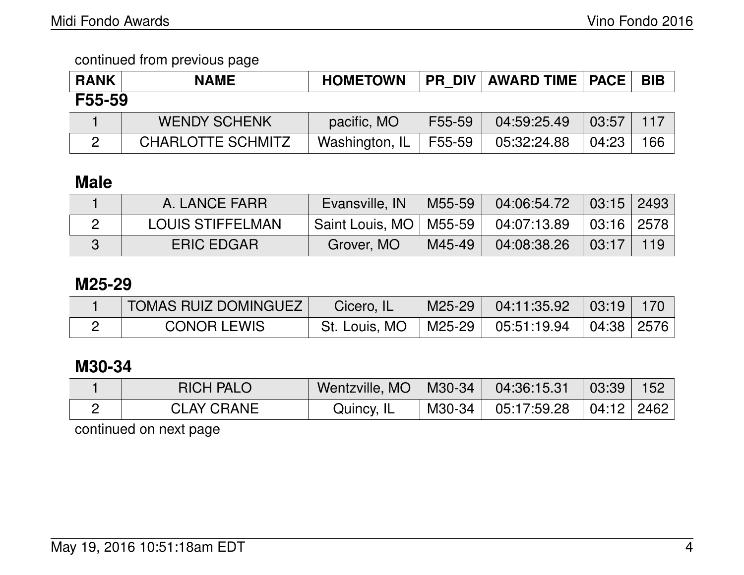| <b>RANK</b> | <b>NAME</b>              | <b>HOMETOWN</b> |        | <b>PR DIV AWARD TIME PACE</b> |       | <b>BIB</b> |
|-------------|--------------------------|-----------------|--------|-------------------------------|-------|------------|
| F55-59      |                          |                 |        |                               |       |            |
|             | <b>WENDY SCHENK</b>      | pacific, MO     | F55-59 | 04:59:25.49                   | 03:57 | 117        |
|             | <b>CHARLOTTE SCHMITZ</b> | Washington, IL  | F55-59 | 05:32:24.88                   | 04:23 | 166        |

# **Male**

| A. LANCE FARRI          | Evansville, IN           | M55-59 | 04:06:54.72 | $\mid$ 03:15 $\mid$ 2493 $\mid$    |     |
|-------------------------|--------------------------|--------|-------------|------------------------------------|-----|
| <b>LOUIS STIFFELMAN</b> | Saint Louis, MO   M55-59 |        | 04:07:13.89 | $\vert$ 03:16 $\vert$ 2578 $\vert$ |     |
| <b>ERIC EDGAR</b>       | Grover, MO               | M45-49 | 04:08:38.26 | 03:17                              | 119 |

## **M25-29**

| <b>TOMAS RUIZ DOMINGUEZ I</b> | Cicero, IL    | M25-29 | $04:11:35.92$ 03:19                                       |  |
|-------------------------------|---------------|--------|-----------------------------------------------------------|--|
| <b>CONOR LEWIS</b>            | St. Louis, MO |        | $\mid$ M25-29 $\mid$ 05:51:19.94 $\mid$ 04:38 2576 $\mid$ |  |

## **M30-34**

| <b>RICH PALO</b>  | Wentzville, $MO$   M30-34 | 04:36:15.31                         | $\parallel$ 03:39 $\parallel$ | 152 |
|-------------------|---------------------------|-------------------------------------|-------------------------------|-----|
| <b>CLAY CRANE</b> | Quincy, IL                | 「M30-34 」 05:17:59.28 「04:12   2462 |                               |     |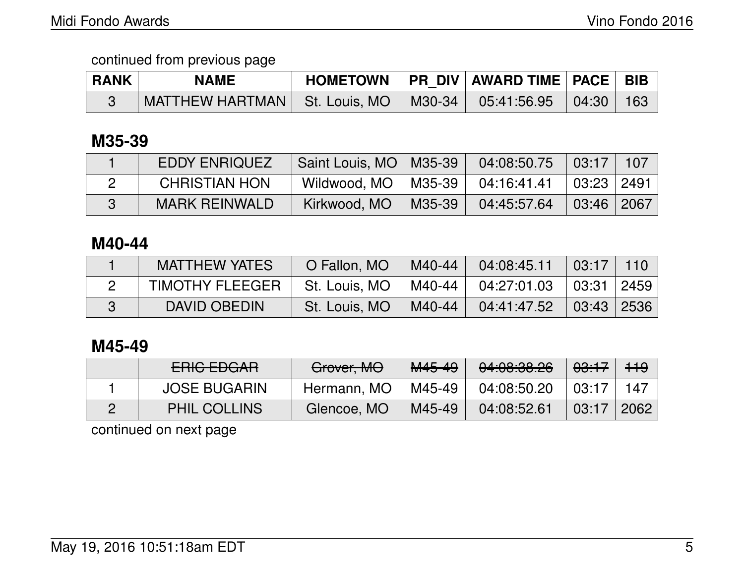| <b>RANK</b> | <b>NAME</b>                                                          |  | HOMETOWN   PR DIV   AWARD TIME   PACE   BIB |  |
|-------------|----------------------------------------------------------------------|--|---------------------------------------------|--|
|             | MATTHEW HARTMAN   St. Louis, MO   M30-34   05:41:56.95   04:30   163 |  |                                             |  |

## **M35-39**

| <b>EDDY ENRIQUEZ</b> | Saint Louis, MO   M35-39 |                     | 04:08:50.75 | 03:17                    | $\sim$ 107 |
|----------------------|--------------------------|---------------------|-------------|--------------------------|------------|
| <b>CHRISTIAN HON</b> | Wildwood, MO             | <sup>∣</sup> M35-39 | 04:16:41.41 | $\mid$ 03:23 $\mid$ 2491 |            |
| <b>MARK REINWALD</b> | Kirkwood, MO             | M35-39              | 04:45:57.64 | $03:46$   2067           |            |

## **M40-44**

| <b>MATTHEW YATES</b>   | O Fallon, MO  | M40-44   | 04:08:45.11 | $\mid$ 03:17   110  |  |
|------------------------|---------------|----------|-------------|---------------------|--|
| <b>TIMOTHY FLEEGER</b> | St. Louis, MO | M40-44 l | 04:27:01.03 | 03:31   2459        |  |
| DAVID OBEDIN           | St. Louis, MO | M40-44   | 04:41:47.52 | $\mid$ 03:43   2536 |  |

## **M45-49**

| $F$ DIO $F$ DO AD<br><del>ENIV LDUAN</del> | Grover, MO  | M45-49 | 0.100000<br><del>04.00.00.20</del> | <del>03:17</del> | $+19$ |
|--------------------------------------------|-------------|--------|------------------------------------|------------------|-------|
| <b>JOSE BUGARIN</b>                        | Hermann, MO | M45-49 | 04:08:50.20                        | 03:17            | 147   |
| <b>PHIL COLLINS</b>                        | Glencoe, MO | M45-49 | 04:08:52.61                        | 03:17            | 2062  |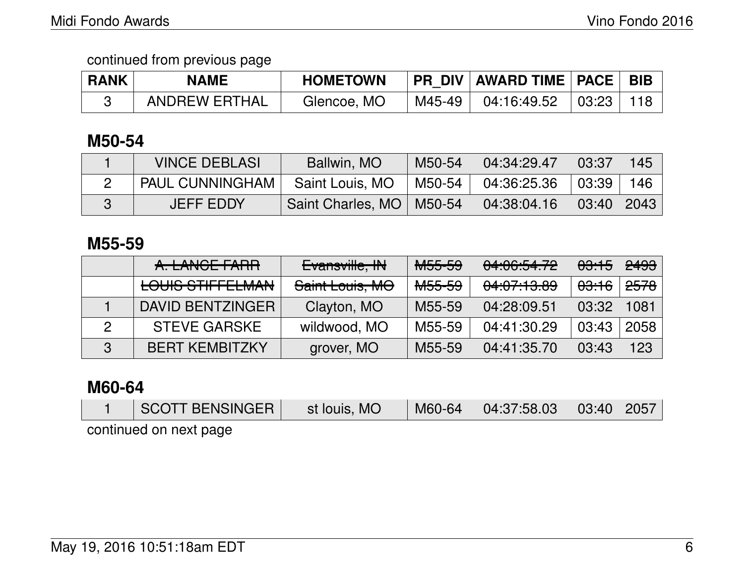| <b>RANK</b> | <b>NAME</b>          | <b>HOMETOWN</b> |        | PR DIV   AWARD TIME   PACE   BIB    |  |
|-------------|----------------------|-----------------|--------|-------------------------------------|--|
|             | <b>ANDREW ERTHAL</b> | Glencoe, MO     | M45-49 | $04:16:49.52$ $\mid$ $03:23$ $\mid$ |  |

### **M50-54**

| <b>VINCE DEBLASI</b>   | Ballwin, MO                | M50-54 | 04:34:29.47                | 03:37 | 145 |
|------------------------|----------------------------|--------|----------------------------|-------|-----|
| <b>PAUL CUNNINGHAM</b> | Saint Louis, MO            | M50-54 | 04:36:25.36 03:39          |       | 146 |
| <b>JEFF EDDY</b>       | Saint Charles, MO   M50-54 |        | $04:38:04.16$ $03:40$ 2043 |       |     |

### **M55-59**

|   | A. LANCE FARR                                     | Evansville, IN  | <del>M55-59</del>   | 04:06:54.72 | <del>03:15</del> | <del>2493</del> |
|---|---------------------------------------------------|-----------------|---------------------|-------------|------------------|-----------------|
|   | LOUILO OTIEFFI MANI<br><b>LOUIO OTILIT LEMAIN</b> | Saint Louis, MO | <del>M55-59</del>   | 04:07:13.89 | <del>03:16</del> | <del>2578</del> |
|   | DAVID BENTZINGER                                  | Clayton, MO     | M55-59              | 04:28:09.51 | 03:32            | 1081            |
|   | <b>STEVE GARSKE</b>                               | wildwood, MO    | M55-59              | 04:41:30.29 | 03:43            | 2058            |
| 3 | <b>BERT KEMBITZKY</b>                             | grover, MO      | M <sub>55</sub> -59 | 04:41:35.70 | 03:43            | 123             |

### **M60-64**

| SCOTT BENSINGER        | st Iouis, MO | $M60-64$ | $\vert$ 04:37:58.03 $\vert$ 03:40 $\vert$ 2057 $\vert$ |  |
|------------------------|--------------|----------|--------------------------------------------------------|--|
| continued on next page |              |          |                                                        |  |